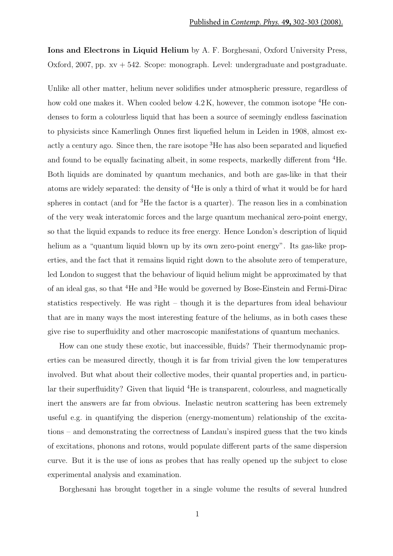Ions and Electrons in Liquid Helium by A. F. Borghesani, Oxford University Press, Oxford, 2007, pp.  $xy + 542$ . Scope: monograph. Level: undergraduate and postgraduate.

Unlike all other matter, helium never solidifies under atmospheric pressure, regardless of how cold one makes it. When cooled below  $4.2 \text{ K}$ , however, the common isotope <sup>4</sup>He condenses to form a colourless liquid that has been a source of seemingly endless fascination to physicists since Kamerlingh Onnes first liquefied helum in Leiden in 1908, almost exactly a century ago. Since then, the rare isotope <sup>3</sup>He has also been separated and liquefied and found to be equally facinating albeit, in some respects, markedly different from <sup>4</sup>He. Both liquids are dominated by quantum mechanics, and both are gas-like in that their atoms are widely separated: the density of <sup>4</sup>He is only a third of what it would be for hard spheres in contact (and for <sup>3</sup>He the factor is a quarter). The reason lies in a combination of the very weak interatomic forces and the large quantum mechanical zero-point energy, so that the liquid expands to reduce its free energy. Hence London's description of liquid helium as a "quantum liquid blown up by its own zero-point energy". Its gas-like properties, and the fact that it remains liquid right down to the absolute zero of temperature, led London to suggest that the behaviour of liquid helium might be approximated by that of an ideal gas, so that <sup>4</sup>He and <sup>3</sup>He would be governed by Bose-Einstein and Fermi-Dirac statistics respectively. He was right – though it is the departures from ideal behaviour that are in many ways the most interesting feature of the heliums, as in both cases these give rise to superfluidity and other macroscopic manifestations of quantum mechanics.

How can one study these exotic, but inaccessible, fluids? Their thermodynamic properties can be measured directly, though it is far from trivial given the low temperatures involved. But what about their collective modes, their quantal properties and, in particular their superfluidity? Given that liquid <sup>4</sup>He is transparent, colourless, and magnetically inert the answers are far from obvious. Inelastic neutron scattering has been extremely useful e.g. in quantifying the disperion (energy-momentum) relationship of the excitations – and demonstrating the correctness of Landau's inspired guess that the two kinds of excitations, phonons and rotons, would populate different parts of the same dispersion curve. But it is the use of ions as probes that has really opened up the subject to close experimental analysis and examination.

Borghesani has brought together in a single volume the results of several hundred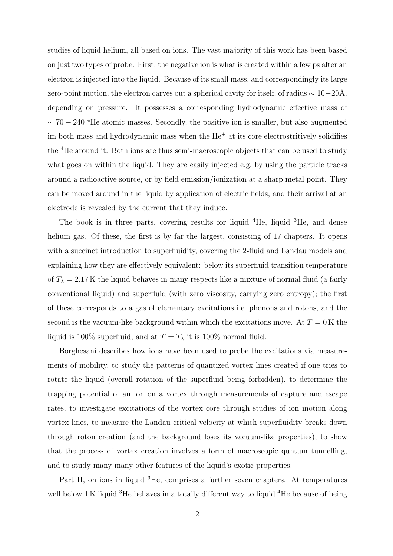studies of liquid helium, all based on ions. The vast majority of this work has been based on just two types of probe. First, the negative ion is what is created within a few ps after an electron is injected into the liquid. Because of its small mass, and correspondingly its large zero-point motion, the electron carves out a spherical cavity for itself, of radius  $\sim 10-20\text{\AA}$ , depending on pressure. It possesses a corresponding hydrodynamic effective mass of  $\sim 70 - 240$  <sup>4</sup>He atomic masses. Secondly, the positive ion is smaller, but also augmented im both mass and hydrodynamic mass when the  $He<sup>+</sup>$  at its core electrostritively solidifies the <sup>4</sup>He around it. Both ions are thus semi-macroscopic objects that can be used to study what goes on within the liquid. They are easily injected e.g. by using the particle tracks around a radioactive source, or by field emission/ionization at a sharp metal point. They can be moved around in the liquid by application of electric fields, and their arrival at an electrode is revealed by the current that they induce.

The book is in three parts, covering results for liquid  ${}^{4}$ He, liquid  ${}^{3}$ He, and dense helium gas. Of these, the first is by far the largest, consisting of 17 chapters. It opens with a succinct introduction to superfluidity, covering the 2-fluid and Landau models and explaining how they are effectively equivalent: below its superfluid transition temperature of  $T_{\lambda} = 2.17$  K the liquid behaves in many respects like a mixture of normal fluid (a fairly conventional liquid) and superfluid (with zero viscosity, carrying zero entropy); the first of these corresponds to a gas of elementary excitations i.e. phonons and rotons, and the second is the vacuum-like background within which the excitations move. At  $T = 0$  K the liquid is 100% superfluid, and at  $T = T_{\lambda}$  it is 100% normal fluid.

Borghesani describes how ions have been used to probe the excitations via measurements of mobility, to study the patterns of quantized vortex lines created if one tries to rotate the liquid (overall rotation of the superfluid being forbidden), to determine the trapping potential of an ion on a vortex through measurements of capture and escape rates, to investigate excitations of the vortex core through studies of ion motion along vortex lines, to measure the Landau critical velocity at which superfluidity breaks down through roton creation (and the background loses its vacuum-like properties), to show that the process of vortex creation involves a form of macroscopic quntum tunnelling, and to study many many other features of the liquid's exotic properties.

Part II, on ions in liquid <sup>3</sup>He, comprises a further seven chapters. At temperatures well below 1 K liquid <sup>3</sup>He behaves in a totally different way to liquid <sup>4</sup>He because of being